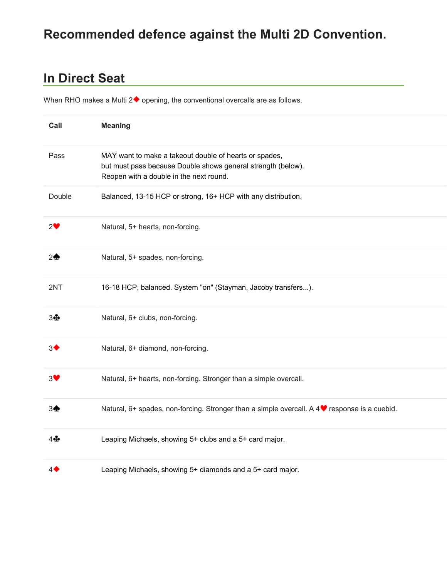# Recommended defence against the Multi 2D Convention.

## In Direct Seat

When RHO makes a Multi  $2\blacklozenge$  opening, the conventional overcalls are as follows.

| Call           | <b>Meaning</b>                                                                                                                                                    |
|----------------|-------------------------------------------------------------------------------------------------------------------------------------------------------------------|
| Pass           | MAY want to make a takeout double of hearts or spades,<br>but must pass because Double shows general strength (below).<br>Reopen with a double in the next round. |
| Double         | Balanced, 13-15 HCP or strong, 16+ HCP with any distribution.                                                                                                     |
| $2^{\bullet}$  | Natural, 5+ hearts, non-forcing.                                                                                                                                  |
| $2^{\bullet}$  | Natural, 5+ spades, non-forcing.                                                                                                                                  |
| 2NT            | 16-18 HCP, balanced. System "on" (Stayman, Jacoby transfers).                                                                                                     |
| $3 +$          | Natural, 6+ clubs, non-forcing.                                                                                                                                   |
| $3^{\bullet}$  | Natural, 6+ diamond, non-forcing.                                                                                                                                 |
| $3^{\bullet}$  | Natural, 6+ hearts, non-forcing. Stronger than a simple overcall.                                                                                                 |
| 3 <sup>4</sup> | Natural, 6+ spades, non-forcing. Stronger than a simple overcall. A 4♥ response is a cuebid.                                                                      |
| $4\clubsuit$   | Leaping Michaels, showing 5+ clubs and a 5+ card major.                                                                                                           |
| 4◆             | Leaping Michaels, showing 5+ diamonds and a 5+ card major.                                                                                                        |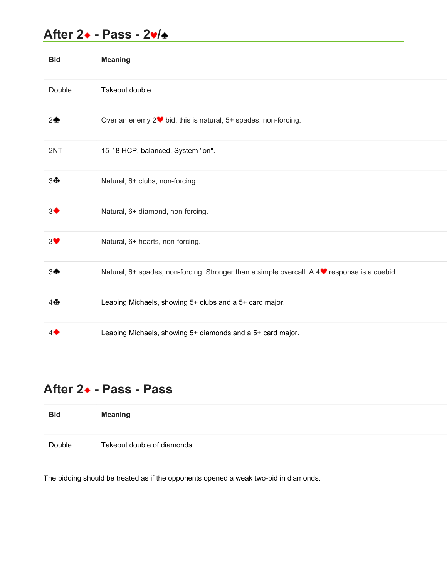|                  | After 2+ - Pass - 2v/÷                                                                       |
|------------------|----------------------------------------------------------------------------------------------|
| <b>Bid</b>       | <b>Meaning</b>                                                                               |
| Double           | Takeout double.                                                                              |
| $2\spadesuit$    | Over an enemy 2 <sup>●</sup> bid, this is natural, 5+ spades, non-forcing.                   |
| 2NT              | 15-18 HCP, balanced. System "on".                                                            |
| 3♣               | Natural, 6+ clubs, non-forcing.                                                              |
| 3 <sup>4</sup>   | Natural, 6+ diamond, non-forcing.                                                            |
| $3^{\bullet}$    | Natural, 6+ hearts, non-forcing.                                                             |
| $3\spadesuit$    | Natural, 6+ spades, non-forcing. Stronger than a simple overcall. A 4♥ response is a cuebid. |
| 4 ÷              | Leaping Michaels, showing 5+ clubs and a 5+ card major.                                      |
| $4\blacklozenge$ | Leaping Michaels, showing 5+ diamonds and a 5+ card major.                                   |
|                  | After 2• - Pass - Pass                                                                       |
| <b>Bid</b>       | <b>Meaning</b>                                                                               |

| <b>Bid</b> | <b>Meaning</b>              |
|------------|-----------------------------|
| Double     | Takeout double of diamonds. |

The bidding should be treated as if the opponents opened a weak two-bid in diamonds.